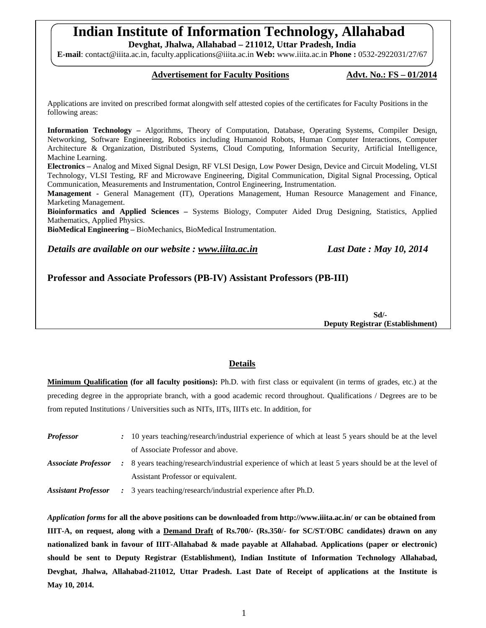# **Indian Institute of Information Technology, Allahabad**

**Devghat, Jhalwa, Allahabad – 211012, Uttar Pradesh, India** 

**E-mail**: contact@iiita.ac.in, faculty.applications@iiita.ac.in **Web:** www.iiita.ac.in **Phone :** 0532-2922031/27/67

#### Advertisement for Faculty Positions Advt. No.: FS - 01/2014

Applications are invited on prescribed format alongwith self attested copies of the certificates for Faculty Positions in the following areas:

**Information Technology –** Algorithms, Theory of Computation, Database, Operating Systems, Compiler Design, Networking, Software Engineering, Robotics including Humanoid Robots, Human Computer Interactions, Computer Architecture & Organization, Distributed Systems, Cloud Computing, Information Security, Artificial Intelligence, Machine Learning.

**Electronics –** Analog and Mixed Signal Design, RF VLSI Design, Low Power Design, Device and Circuit Modeling, VLSI Technology, VLSI Testing, RF and Microwave Engineering, Digital Communication, Digital Signal Processing, Optical Communication, Measurements and Instrumentation, Control Engineering, Instrumentation.

**Management -** General Management (IT), Operations Management, Human Resource Management and Finance, Marketing Management.

**Bioinformatics and Applied Sciences –** Systems Biology, Computer Aided Drug Designing, Statistics, Applied Mathematics, Applied Physics.

**BioMedical Engineering –** BioMechanics, BioMedical Instrumentation.

*Details are available on our website : www.iiita.ac.in Last Date : May 10, 2014*

**Professor and Associate Professors (PB-IV) Assistant Professors (PB-III)**

 **Sd/- Deputy Registrar (Establishment)** 

#### **Details**

**Minimum Qualification (for all faculty positions):** Ph.D. with first class or equivalent (in terms of grades, etc.) at the preceding degree in the appropriate branch, with a good academic record throughout. Qualifications / Degrees are to be from reputed Institutions / Universities such as NITs, IITs, IIITs etc. In addition, for

| <i>Professor</i>                  | : 10 years teaching/research/industrial experience of which at least 5 years should be at the level   |
|-----------------------------------|-------------------------------------------------------------------------------------------------------|
|                                   | of Associate Professor and above.                                                                     |
| <i><b>Associate Professor</b></i> | : 8 years teaching/research/industrial experience of which at least 5 years should be at the level of |
|                                   | Assistant Professor or equivalent.                                                                    |
| <b>Assistant Professor</b>        | : 3 years teaching/research/industrial experience after Ph.D.                                         |

*Application forms* **for all the above positions can be downloaded from http://www.iiita.ac.in/ or can be obtained from IIIT-A, on request, along with a Demand Draft of Rs.700/- (Rs.350/- for SC/ST/OBC candidates) drawn on any nationalized bank in favour of IIIT-Allahabad & made payable at Allahabad. Applications (paper or electronic) should be sent to Deputy Registrar (Establishment), Indian Institute of Information Technology Allahabad, Devghat, Jhalwa, Allahabad-211012, Uttar Pradesh. Last Date of Receipt of applications at the Institute is May 10, 2014.**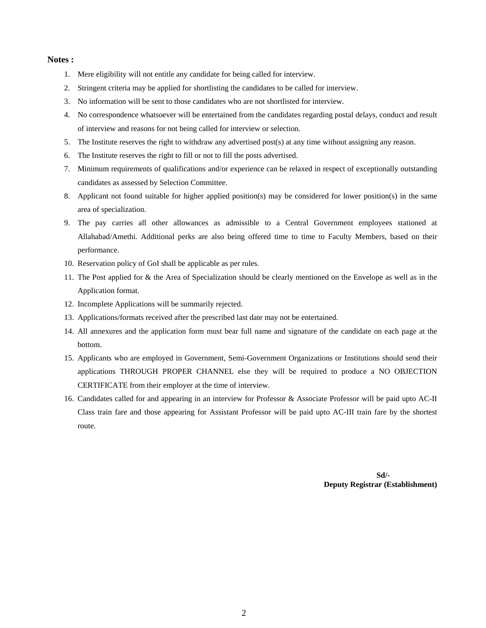#### **Notes :**

- 1. Mere eligibility will not entitle any candidate for being called for interview.
- 2. Stringent criteria may be applied for shortlisting the candidates to be called for interview.
- 3. No information will be sent to those candidates who are not shortlisted for interview.
- 4. No correspondence whatsoever will be entertained from the candidates regarding postal delays, conduct and result of interview and reasons for not being called for interview or selection.
- 5. The Institute reserves the right to withdraw any advertised post(s) at any time without assigning any reason.
- 6. The Institute reserves the right to fill or not to fill the posts advertised.
- 7. Minimum requirements of qualifications and/or experience can be relaxed in respect of exceptionally outstanding candidates as assessed by Selection Committee.
- 8. Applicant not found suitable for higher applied position(s) may be considered for lower position(s) in the same area of specialization.
- 9. The pay carries all other allowances as admissible to a Central Government employees stationed at Allahabad/Amethi. Additional perks are also being offered time to time to Faculty Members, based on their performance.
- 10. Reservation policy of GoI shall be applicable as per rules.
- 11. The Post applied for & the Area of Specialization should be clearly mentioned on the Envelope as well as in the Application format.
- 12. Incomplete Applications will be summarily rejected.
- 13. Applications/formats received after the prescribed last date may not be entertained.
- 14. All annexures and the application form must bear full name and signature of the candidate on each page at the bottom.
- 15. Applicants who are employed in Government, Semi-Government Organizations or Institutions should send their applications THROUGH PROPER CHANNEL else they will be required to produce a NO OBJECTION CERTIFICATE from their employer at the time of interview.
- 16. Candidates called for and appearing in an interview for Professor & Associate Professor will be paid upto AC-II Class train fare and those appearing for Assistant Professor will be paid upto AC-III train fare by the shortest route.

 **Sd/- Deputy Registrar (Establishment)**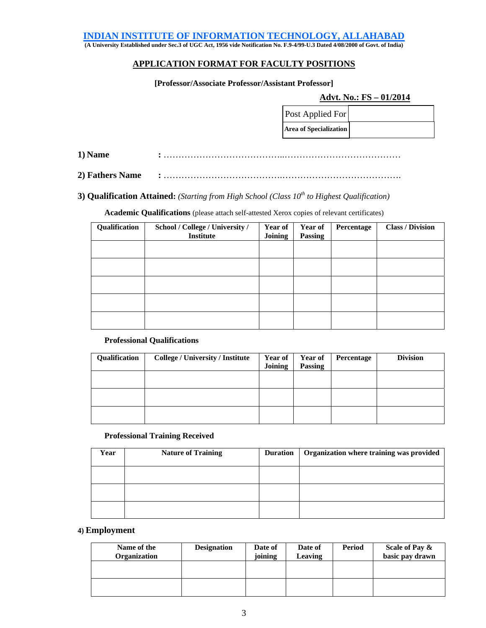#### **INDIAN INSTITUTE OF INFORMATION TECHNOLOGY, ALLAHABAD**

**(A University Established under Sec.3 of UGC Act, 1956 vide Notification No. F.9-4/99-U.3 Dated 4/08/2000 of Govt. of India)** 

#### **APPLICATION FORMAT FOR FACULTY POSITIONS**

#### **[Professor/Associate Professor/Assistant Professor]**

#### **Advt. No.: FS – 01/2014**

| <b>Post Applied For</b>       |  |
|-------------------------------|--|
| <b>Area of Specialization</b> |  |

**1) Name :** …………………………………..…………………………………

**2) Fathers Name :** ………………………………….………………………………….

**3) Qualification Attained:** *(Starting from High School (Class 10<sup>th</sup> to Highest Qualification)* 

**Academic Qualifications** (please attach self-attested Xerox copies of relevant certificates)

| Qualification | School / College / University /<br>Institute | Year of<br><b>Joining</b> | <b>Year of</b><br>Passing | Percentage | <b>Class / Division</b> |
|---------------|----------------------------------------------|---------------------------|---------------------------|------------|-------------------------|
|               |                                              |                           |                           |            |                         |
|               |                                              |                           |                           |            |                         |
|               |                                              |                           |                           |            |                         |
|               |                                              |                           |                           |            |                         |
|               |                                              |                           |                           |            |                         |

#### **Professional Qualifications**

| Qualification | <b>College / University / Institute</b> | <b>Year of</b><br><b>Joining</b> | <b>Year of</b><br><b>Passing</b> | Percentage | <b>Division</b> |
|---------------|-----------------------------------------|----------------------------------|----------------------------------|------------|-----------------|
|               |                                         |                                  |                                  |            |                 |
|               |                                         |                                  |                                  |            |                 |
|               |                                         |                                  |                                  |            |                 |

#### **Professional Training Received**

| Year | <b>Nature of Training</b> | <b>Duration</b> | Organization where training was provided |
|------|---------------------------|-----------------|------------------------------------------|
|      |                           |                 |                                          |
|      |                           |                 |                                          |
|      |                           |                 |                                          |

#### **4) Employment**

| Name of the<br>Organization | <b>Designation</b> | Date of<br>joining | Date of<br>Leaving | Period | Scale of Pay &<br>basic pay drawn |
|-----------------------------|--------------------|--------------------|--------------------|--------|-----------------------------------|
|                             |                    |                    |                    |        |                                   |
|                             |                    |                    |                    |        |                                   |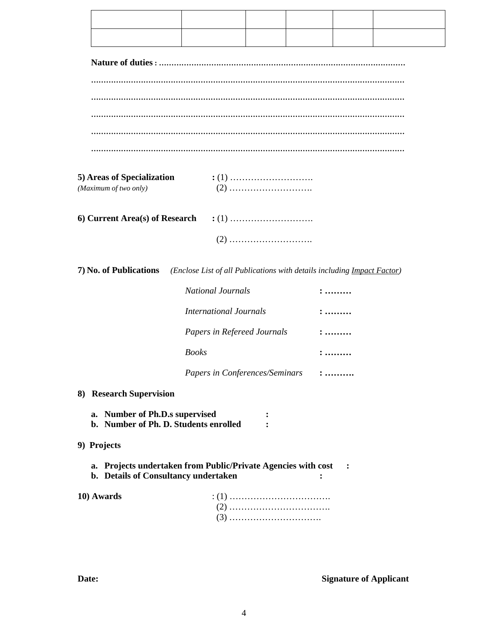|  |  | . |
|--|--|---|

| 5) Areas of Specialization | $\cdot$ (1) |
|----------------------------|-------------|
| (Maximum of two only)      |             |

**7) No. of Publications** *(Enclose List of all Publications with details including Impact Factor)*

| <i>National Journals</i>       |                       |
|--------------------------------|-----------------------|
| <i>International Journals</i>  | :                     |
| Papers in Refereed Journals    | $: \dots \dots$       |
| <b>Books</b>                   | :                     |
| Papers in Conferences/Seminars | $: \dots \dots \dots$ |

| 8) Research Supervision |  |
|-------------------------|--|
|-------------------------|--|

- **a. Number of Ph.D.s supervised : b. Number of Ph. D. Students enrolled :**
- **9) Projects** 
	- a. Projects undertaken from Public/Private Agencies with cost :
	- **b. Details of Consultancy undertaken :**

| 10) Awards |  |
|------------|--|
|            |  |
|            |  |

**Date:** Signature of Applicant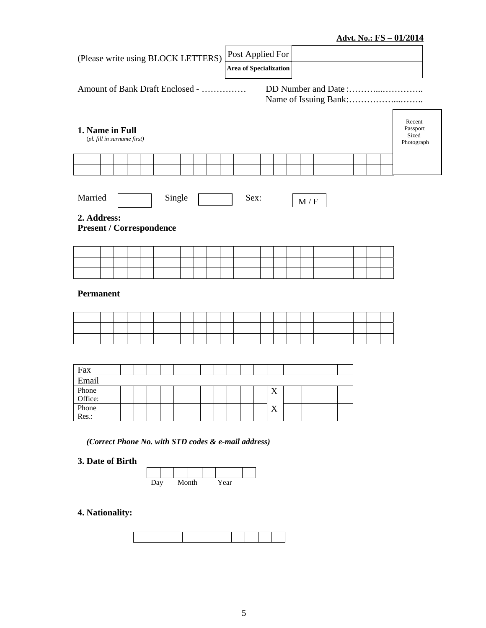### **Advt. No.: FS – 01/2014**

| (Please write using BLOCK LETTERS)                                                          | Post Applied For<br><b>Area of Specialization</b>   |  |  |  |  |  |  |  |  |
|---------------------------------------------------------------------------------------------|-----------------------------------------------------|--|--|--|--|--|--|--|--|
| Amount of Bank Draft Enclosed -                                                             |                                                     |  |  |  |  |  |  |  |  |
| Recent<br>Passport<br>1. Name in Full<br>Sized<br>(pl. fill in surname first)<br>Photograph |                                                     |  |  |  |  |  |  |  |  |
|                                                                                             |                                                     |  |  |  |  |  |  |  |  |
| Married<br>Single<br>2. Address:                                                            | Sex:<br>M / F                                       |  |  |  |  |  |  |  |  |
| <b>Present / Correspondence</b>                                                             |                                                     |  |  |  |  |  |  |  |  |
|                                                                                             |                                                     |  |  |  |  |  |  |  |  |
| <b>Permanent</b>                                                                            |                                                     |  |  |  |  |  |  |  |  |
|                                                                                             |                                                     |  |  |  |  |  |  |  |  |
|                                                                                             |                                                     |  |  |  |  |  |  |  |  |
| Fax<br>Email                                                                                |                                                     |  |  |  |  |  |  |  |  |
| Phone<br>Office:                                                                            | X                                                   |  |  |  |  |  |  |  |  |
| Phone<br>Res.:                                                                              | X                                                   |  |  |  |  |  |  |  |  |
| 3. Date of Birth                                                                            | (Correct Phone No. with STD codes & e-mail address) |  |  |  |  |  |  |  |  |
| Month<br>Day                                                                                | Year                                                |  |  |  |  |  |  |  |  |

## **4. Nationality:**

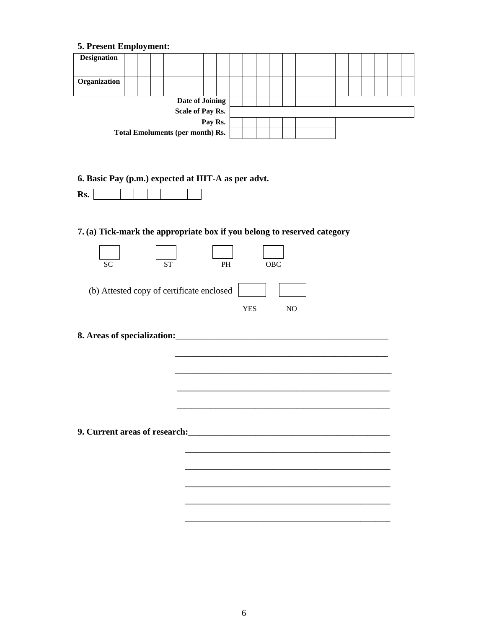### **5. Present Employment:**

|                                         | . . | $\cdot$ |  |                  |  |  |  |  |  |  |  |  |  |
|-----------------------------------------|-----|---------|--|------------------|--|--|--|--|--|--|--|--|--|
| <b>Designation</b>                      |     |         |  |                  |  |  |  |  |  |  |  |  |  |
|                                         |     |         |  |                  |  |  |  |  |  |  |  |  |  |
| Organization                            |     |         |  |                  |  |  |  |  |  |  |  |  |  |
| Date of Joining                         |     |         |  |                  |  |  |  |  |  |  |  |  |  |
|                                         |     |         |  | Scale of Pay Rs. |  |  |  |  |  |  |  |  |  |
| Pay Rs.                                 |     |         |  |                  |  |  |  |  |  |  |  |  |  |
| <b>Total Emoluments (per month) Rs.</b> |     |         |  |                  |  |  |  |  |  |  |  |  |  |

**6. Basic Pay (p.m.) expected at IIIT-A as per advt.** 

|--|--|--|--|--|--|--|--|--|--|

### **7. (a) Tick-mark the appropriate box if you belong to reserved category**

| <b>SC</b><br><b>ST</b>                                                                                                                                                                                                              | <b>PH</b>  | <b>OBC</b>                                                                                                       |
|-------------------------------------------------------------------------------------------------------------------------------------------------------------------------------------------------------------------------------------|------------|------------------------------------------------------------------------------------------------------------------|
| (b) Attested copy of certificate enclosed                                                                                                                                                                                           |            |                                                                                                                  |
|                                                                                                                                                                                                                                     | <b>YES</b> | N <sub>O</sub>                                                                                                   |
|                                                                                                                                                                                                                                     |            |                                                                                                                  |
|                                                                                                                                                                                                                                     |            |                                                                                                                  |
|                                                                                                                                                                                                                                     |            |                                                                                                                  |
|                                                                                                                                                                                                                                     |            |                                                                                                                  |
|                                                                                                                                                                                                                                     |            |                                                                                                                  |
|                                                                                                                                                                                                                                     |            | and the control of the control of the control of the control of the control of the control of the control of the |
|                                                                                                                                                                                                                                     |            |                                                                                                                  |
| 9. Current areas of research: <u>contained</u> and the contained and the contained and the contained and the contained and the contained and contained and contained and contained and contained and contained and contained and co |            |                                                                                                                  |
|                                                                                                                                                                                                                                     |            |                                                                                                                  |
|                                                                                                                                                                                                                                     |            |                                                                                                                  |
|                                                                                                                                                                                                                                     |            |                                                                                                                  |
|                                                                                                                                                                                                                                     |            |                                                                                                                  |

**\_\_\_\_\_\_\_\_\_\_\_\_\_\_\_\_\_\_\_\_\_\_\_\_\_\_\_\_\_\_\_\_\_\_\_\_\_\_\_\_\_\_\_\_\_\_\_\_\_\_\_\_\_\_\_**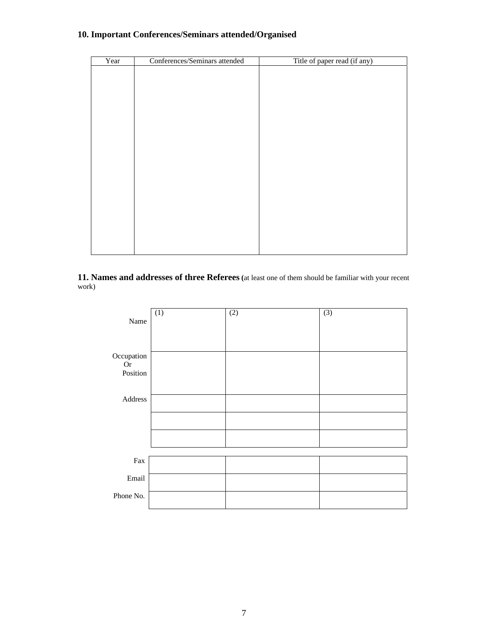### **10. Important Conferences/Seminars attended/Organised**

| Year | Conferences/Seminars attended | Title of paper read (if any) |
|------|-------------------------------|------------------------------|
|      |                               |                              |
|      |                               |                              |
|      |                               |                              |
|      |                               |                              |
|      |                               |                              |
|      |                               |                              |
|      |                               |                              |
|      |                               |                              |
|      |                               |                              |
|      |                               |                              |
|      |                               |                              |
|      |                               |                              |
|      |                               |                              |
|      |                               |                              |
|      |                               |                              |
|      |                               |                              |
|      |                               |                              |
|      |                               |                              |
|      |                               |                              |
|      |                               |                              |
|      |                               |                              |

**11. Names and addresses of three Referees (**at least one of them should be familiar with your recent work)

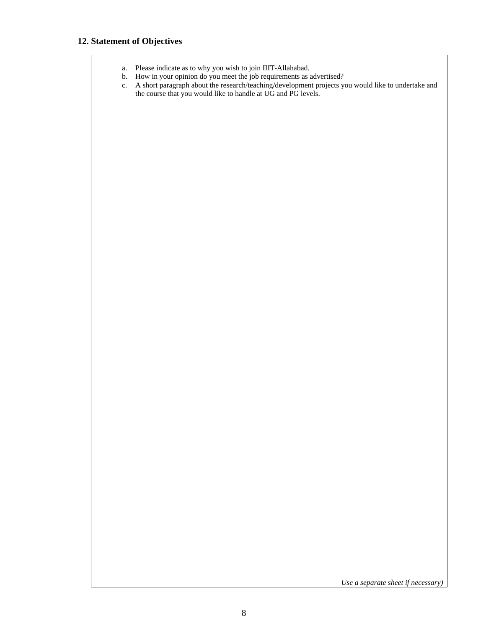### **12. Statement of Objectives**

- a. Please indicate as to why you wish to join IIIT-Allahabad.
- b. How in your opinion do you meet the job requirements as advertised?
- c. A short paragraph about the research/teaching/development projects you would like to undertake and the course that you would like to handle at UG and PG levels.

*Use a separate sheet if necessary)*